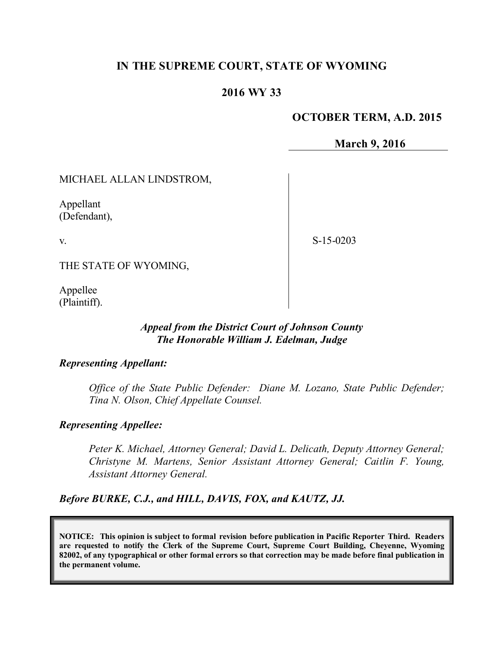# **IN THE SUPREME COURT, STATE OF WYOMING**

# **2016 WY 33**

## **OCTOBER TERM, A.D. 2015**

**March 9, 2016**

MICHAEL ALLAN LINDSTROM,

Appellant (Defendant),

v.

S-15-0203

THE STATE OF WYOMING,

Appellee (Plaintiff).

### *Appeal from the District Court of Johnson County The Honorable William J. Edelman, Judge*

### *Representing Appellant:*

*Office of the State Public Defender: Diane M. Lozano, State Public Defender; Tina N. Olson, Chief Appellate Counsel.* 

### *Representing Appellee:*

*Peter K. Michael, Attorney General; David L. Delicath, Deputy Attorney General; Christyne M. Martens, Senior Assistant Attorney General; Caitlin F. Young, Assistant Attorney General.*

*Before BURKE, C.J., and HILL, DAVIS, FOX, and KAUTZ, JJ.*

**NOTICE: This opinion is subject to formal revision before publication in Pacific Reporter Third. Readers are requested to notify the Clerk of the Supreme Court, Supreme Court Building, Cheyenne, Wyoming 82002, of any typographical or other formal errors so that correction may be made before final publication in the permanent volume.**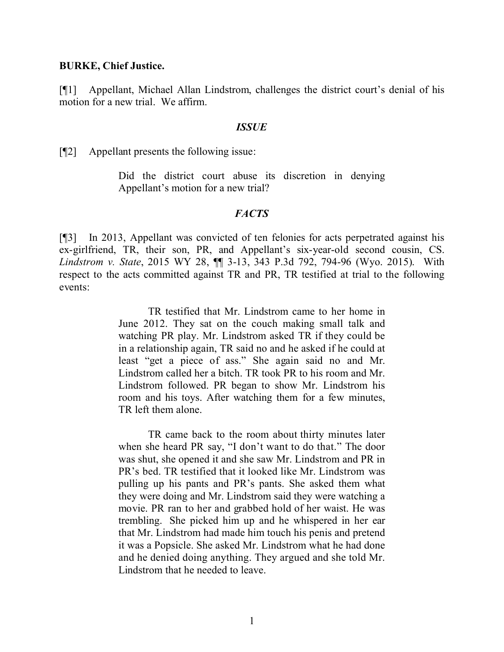#### **BURKE, Chief Justice.**

[¶1] Appellant, Michael Allan Lindstrom, challenges the district court's denial of his motion for a new trial. We affirm.

#### *ISSUE*

[¶2] Appellant presents the following issue:

Did the district court abuse its discretion in denying Appellant's motion for a new trial?

#### *FACTS*

[¶3] In 2013, Appellant was convicted of ten felonies for acts perpetrated against his ex-girlfriend, TR, their son, PR, and Appellant's six-year-old second cousin, CS. *Lindstrom v. State*, 2015 WY 28, ¶¶ 3-13, 343 P.3d 792, 794-96 (Wyo. 2015). With respect to the acts committed against TR and PR, TR testified at trial to the following events:

> TR testified that Mr. Lindstrom came to her home in June 2012. They sat on the couch making small talk and watching PR play. Mr. Lindstrom asked TR if they could be in a relationship again, TR said no and he asked if he could at least "get a piece of ass." She again said no and Mr. Lindstrom called her a bitch. TR took PR to his room and Mr. Lindstrom followed. PR began to show Mr. Lindstrom his room and his toys. After watching them for a few minutes, TR left them alone.

> TR came back to the room about thirty minutes later when she heard PR say, "I don't want to do that." The door was shut, she opened it and she saw Mr. Lindstrom and PR in PR's bed. TR testified that it looked like Mr. Lindstrom was pulling up his pants and PR's pants. She asked them what they were doing and Mr. Lindstrom said they were watching a movie. PR ran to her and grabbed hold of her waist. He was trembling. She picked him up and he whispered in her ear that Mr. Lindstrom had made him touch his penis and pretend it was a Popsicle. She asked Mr. Lindstrom what he had done and he denied doing anything. They argued and she told Mr. Lindstrom that he needed to leave.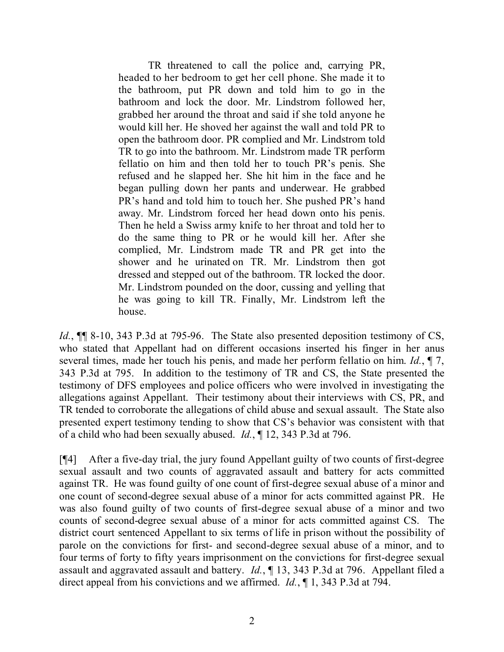TR threatened to call the police and, carrying PR, headed to her bedroom to get her cell phone. She made it to the bathroom, put PR down and told him to go in the bathroom and lock the door. Mr. Lindstrom followed her, grabbed her around the throat and said if she told anyone he would kill her. He shoved her against the wall and told PR to open the bathroom door. PR complied and Mr. Lindstrom told TR to go into the bathroom. Mr. Lindstrom made TR perform fellatio on him and then told her to touch PR's penis. She refused and he slapped her. She hit him in the face and he began pulling down her pants and underwear. He grabbed PR's hand and told him to touch her. She pushed PR's hand away. Mr. Lindstrom forced her head down onto his penis. Then he held a Swiss army knife to her throat and told her to do the same thing to PR or he would kill her. After she complied, Mr. Lindstrom made TR and PR get into the shower and he urinated on TR. Mr. Lindstrom then got dressed and stepped out of the bathroom. TR locked the door. Mr. Lindstrom pounded on the door, cussing and yelling that he was going to kill TR. Finally, Mr. Lindstrom left the house.

*Id.*, ¶¶ 8-10, 343 P.3d at 795-96. The State also presented deposition testimony of CS, who stated that Appellant had on different occasions inserted his finger in her anus several times, made her touch his penis, and made her perform fellatio on him. *Id.*, ¶ 7, 343 P.3d at 795. In addition to the testimony of TR and CS, the State presented the testimony of DFS employees and police officers who were involved in investigating the allegations against Appellant. Their testimony about their interviews with CS, PR, and TR tended to corroborate the allegations of child abuse and sexual assault. The State also presented expert testimony tending to show that CS's behavior was consistent with that of a child who had been sexually abused. *Id.*, ¶ 12, 343 P.3d at 796.

[¶4] After a five-day trial, the jury found Appellant guilty of two counts of first-degree sexual assault and two counts of aggravated assault and battery for acts committed against TR. He was found guilty of one count of first-degree sexual abuse of a minor and one count of second-degree sexual abuse of a minor for acts committed against PR. He was also found guilty of two counts of first-degree sexual abuse of a minor and two counts of second-degree sexual abuse of a minor for acts committed against CS. The district court sentenced Appellant to six terms of life in prison without the possibility of parole on the convictions for first- and second-degree sexual abuse of a minor, and to four terms of forty to fifty years imprisonment on the convictions for first-degree sexual assault and aggravated assault and battery. *Id.*, ¶ 13, 343 P.3d at 796. Appellant filed a direct appeal from his convictions and we affirmed. *Id.*, ¶ 1, 343 P.3d at 794.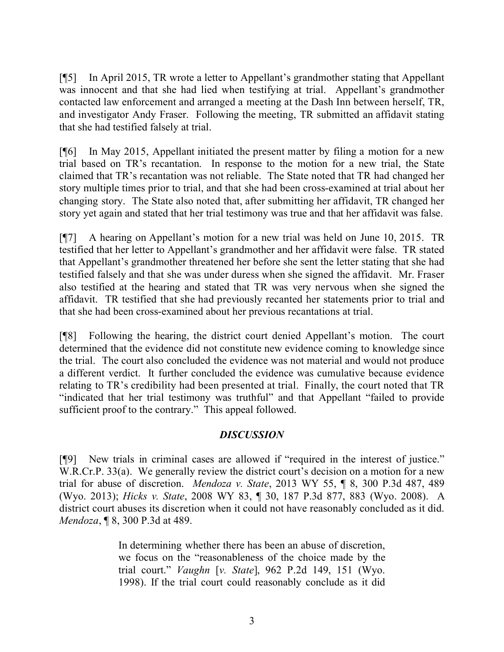[¶5] In April 2015, TR wrote a letter to Appellant's grandmother stating that Appellant was innocent and that she had lied when testifying at trial. Appellant's grandmother contacted law enforcement and arranged a meeting at the Dash Inn between herself, TR, and investigator Andy Fraser. Following the meeting, TR submitted an affidavit stating that she had testified falsely at trial.

[¶6] In May 2015, Appellant initiated the present matter by filing a motion for a new trial based on TR's recantation. In response to the motion for a new trial, the State claimed that TR's recantation was not reliable. The State noted that TR had changed her story multiple times prior to trial, and that she had been cross-examined at trial about her changing story. The State also noted that, after submitting her affidavit, TR changed her story yet again and stated that her trial testimony was true and that her affidavit was false.

[¶7] A hearing on Appellant's motion for a new trial was held on June 10, 2015. TR testified that her letter to Appellant's grandmother and her affidavit were false. TR stated that Appellant's grandmother threatened her before she sent the letter stating that she had testified falsely and that she was under duress when she signed the affidavit. Mr. Fraser also testified at the hearing and stated that TR was very nervous when she signed the affidavit. TR testified that she had previously recanted her statements prior to trial and that she had been cross-examined about her previous recantations at trial.

[¶8] Following the hearing, the district court denied Appellant's motion. The court determined that the evidence did not constitute new evidence coming to knowledge since the trial. The court also concluded the evidence was not material and would not produce a different verdict. It further concluded the evidence was cumulative because evidence relating to TR's credibility had been presented at trial. Finally, the court noted that TR "indicated that her trial testimony was truthful" and that Appellant "failed to provide sufficient proof to the contrary." This appeal followed.

## *DISCUSSION*

[¶9] New trials in criminal cases are allowed if "required in the interest of justice." W.R.Cr.P. 33(a). We generally review the district court's decision on a motion for a new trial for abuse of discretion. *Mendoza v. State*, 2013 WY 55, ¶ 8, 300 P.3d 487, 489 (Wyo. 2013); *Hicks v. State*, 2008 WY 83, ¶ 30, 187 P.3d 877, 883 (Wyo. 2008). A district court abuses its discretion when it could not have reasonably concluded as it did. *Mendoza*, ¶ 8, 300 P.3d at 489.

> In determining whether there has been an abuse of discretion, we focus on the "reasonableness of the choice made by the trial court." *Vaughn* [*v. State*], 962 P.2d 149, 151 (Wyo. 1998). If the trial court could reasonably conclude as it did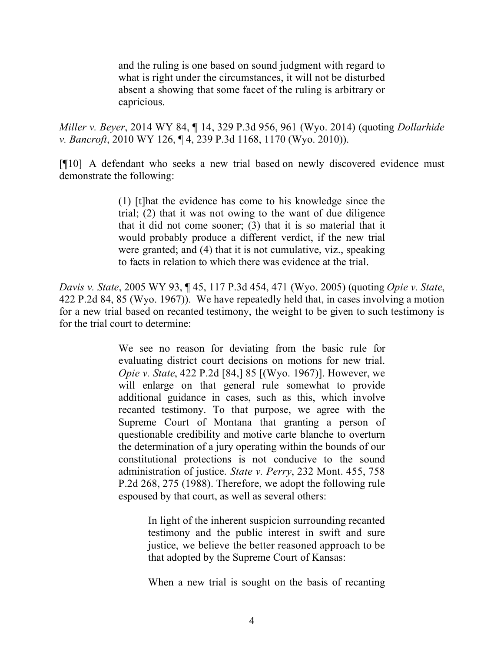and the ruling is one based on sound judgment with regard to what is right under the circumstances, it will not be disturbed absent a showing that some facet of the ruling is arbitrary or capricious.

*Miller v. Beyer*, 2014 WY 84, ¶ 14, 329 P.3d 956, 961 (Wyo. 2014) (quoting *Dollarhide v. Bancroft*, 2010 WY 126, ¶ 4, 239 P.3d 1168, 1170 (Wyo. 2010)).

[¶10] A defendant who seeks a new trial based on newly discovered evidence must demonstrate the following:

> (1) [t]hat the evidence has come to his knowledge since the trial; (2) that it was not owing to the want of due diligence that it did not come sooner; (3) that it is so material that it would probably produce a different verdict, if the new trial were granted; and (4) that it is not cumulative, viz., speaking to facts in relation to which there was evidence at the trial.

*Davis v. State*, 2005 WY 93, ¶ 45, 117 P.3d 454, 471 (Wyo. 2005) (quoting *Opie v. State*, 422 P.2d 84, 85 (Wyo. 1967)). We have repeatedly held that, in cases involving a motion for a new trial based on recanted testimony, the weight to be given to such testimony is for the trial court to determine:

> We see no reason for deviating from the basic rule for evaluating district court decisions on motions for new trial. *Opie v. State*, 422 P.2d [84,] 85 [(Wyo. 1967)]. However, we will enlarge on that general rule somewhat to provide additional guidance in cases, such as this, which involve recanted testimony. To that purpose, we agree with the Supreme Court of Montana that granting a person of questionable credibility and motive carte blanche to overturn the determination of a jury operating within the bounds of our constitutional protections is not conducive to the sound administration of justice. *State v. Perry*, 232 Mont. 455, 758 P.2d 268, 275 (1988). Therefore, we adopt the following rule espoused by that court, as well as several others:

> > In light of the inherent suspicion surrounding recanted testimony and the public interest in swift and sure justice, we believe the better reasoned approach to be that adopted by the Supreme Court of Kansas:

> > When a new trial is sought on the basis of recanting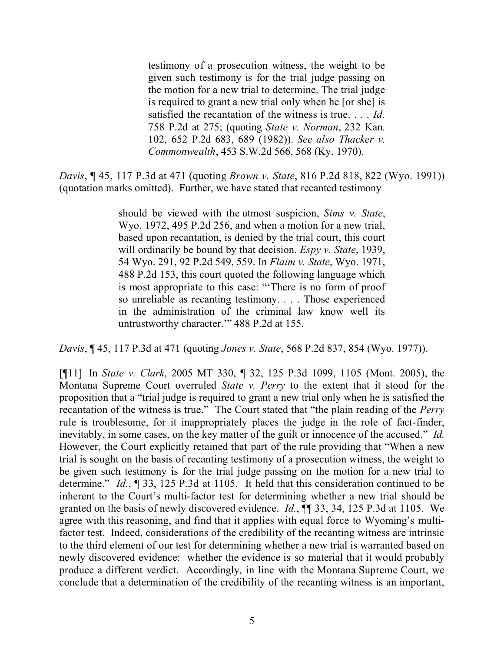testimony of a prosecution witness, the weight to be given such testimony is for the trial judge passing on the motion for a new trial to determine. The trial judge is required to grant a new trial only when he [or she] is satisfied the recantation of the witness is true. . . . *Id.* 758 P.2d at 275; (quoting *State v. Norman*, 232 Kan. 102, 652 P.2d 683, 689 (1982)). *See also Thacker v. Commonwealth*, 453 S.W.2d 566, 568 (Ky. 1970).

*Davis*, ¶ 45, 117 P.3d at 471 (quoting *Brown v. State*, 816 P.2d 818, 822 (Wyo. 1991)) (quotation marks omitted). Further, we have stated that recanted testimony

> should be viewed with the utmost suspicion, *Sims v. State*, Wyo. 1972, 495 P.2d 256, and when a motion for a new trial, based upon recantation, is denied by the trial court, this court will ordinarily be bound by that decision. *Espy v. State*, 1939, 54 Wyo. 291, 92 P.2d 549, 559. In *Flaim v. State*, Wyo. 1971, 488 P.2d 153, this court quoted the following language which is most appropriate to this case: "'There is no form of proof so unreliable as recanting testimony. . . . Those experienced in the administration of the criminal law know well its untrustworthy character.'" 488 P.2d at 155.

*Davis*, ¶ 45, 117 P.3d at 471 (quoting *Jones v. State*, 568 P.2d 837, 854 (Wyo. 1977)).

[¶11] In *State v. Clark*, 2005 MT 330, ¶ 32, 125 P.3d 1099, 1105 (Mont. 2005), the Montana Supreme Court overruled *State v. Perry* to the extent that it stood for the proposition that a "trial judge is required to grant a new trial only when he is satisfied the recantation of the witness is true." The Court stated that "the plain reading of the *Perry* rule is troublesome, for it inappropriately places the judge in the role of fact-finder, inevitably, in some cases, on the key matter of the guilt or innocence of the accused." *Id.* However, the Court explicitly retained that part of the rule providing that "When a new trial is sought on the basis of recanting testimony of a prosecution witness, the weight to be given such testimony is for the trial judge passing on the motion for a new trial to determine." *Id.*, ¶ 33, 125 P.3d at 1105. It held that this consideration continued to be inherent to the Court's multi-factor test for determining whether a new trial should be granted on the basis of newly discovered evidence. *Id.*,  $\P$  33, 34, 125 P.3d at 1105. We agree with this reasoning, and find that it applies with equal force to Wyoming's multifactor test. Indeed, considerations of the credibility of the recanting witness are intrinsic to the third element of our test for determining whether a new trial is warranted based on newly discovered evidence: whether the evidence is so material that it would probably produce a different verdict. Accordingly, in line with the Montana Supreme Court, we conclude that a determination of the credibility of the recanting witness is an important,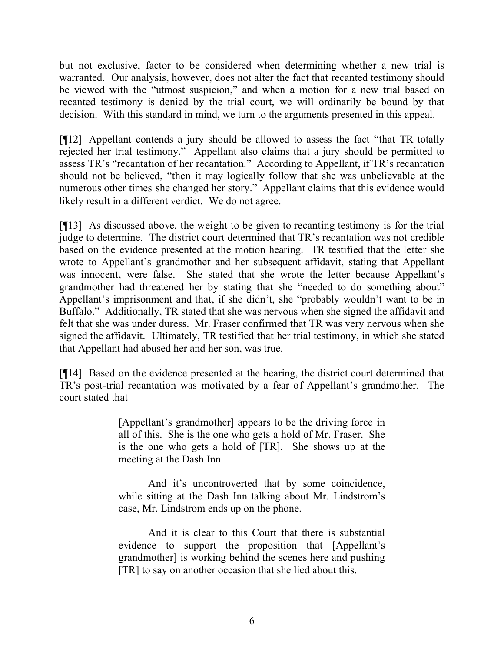but not exclusive, factor to be considered when determining whether a new trial is warranted. Our analysis, however, does not alter the fact that recanted testimony should be viewed with the "utmost suspicion," and when a motion for a new trial based on recanted testimony is denied by the trial court, we will ordinarily be bound by that decision. With this standard in mind, we turn to the arguments presented in this appeal.

[¶12] Appellant contends a jury should be allowed to assess the fact "that TR totally rejected her trial testimony." Appellant also claims that a jury should be permitted to assess TR's "recantation of her recantation." According to Appellant, if TR's recantation should not be believed, "then it may logically follow that she was unbelievable at the numerous other times she changed her story." Appellant claims that this evidence would likely result in a different verdict. We do not agree.

[¶13] As discussed above, the weight to be given to recanting testimony is for the trial judge to determine. The district court determined that TR's recantation was not credible based on the evidence presented at the motion hearing. TR testified that the letter she wrote to Appellant's grandmother and her subsequent affidavit, stating that Appellant was innocent, were false. She stated that she wrote the letter because Appellant's grandmother had threatened her by stating that she "needed to do something about" Appellant's imprisonment and that, if she didn't, she "probably wouldn't want to be in Buffalo." Additionally, TR stated that she was nervous when she signed the affidavit and felt that she was under duress. Mr. Fraser confirmed that TR was very nervous when she signed the affidavit. Ultimately, TR testified that her trial testimony, in which she stated that Appellant had abused her and her son, was true.

[¶14] Based on the evidence presented at the hearing, the district court determined that TR's post-trial recantation was motivated by a fear of Appellant's grandmother. The court stated that

> [Appellant's grandmother] appears to be the driving force in all of this. She is the one who gets a hold of Mr. Fraser. She is the one who gets a hold of [TR]. She shows up at the meeting at the Dash Inn.

> And it's uncontroverted that by some coincidence, while sitting at the Dash Inn talking about Mr. Lindstrom's case, Mr. Lindstrom ends up on the phone.

> And it is clear to this Court that there is substantial evidence to support the proposition that [Appellant's grandmother] is working behind the scenes here and pushing [TR] to say on another occasion that she lied about this.